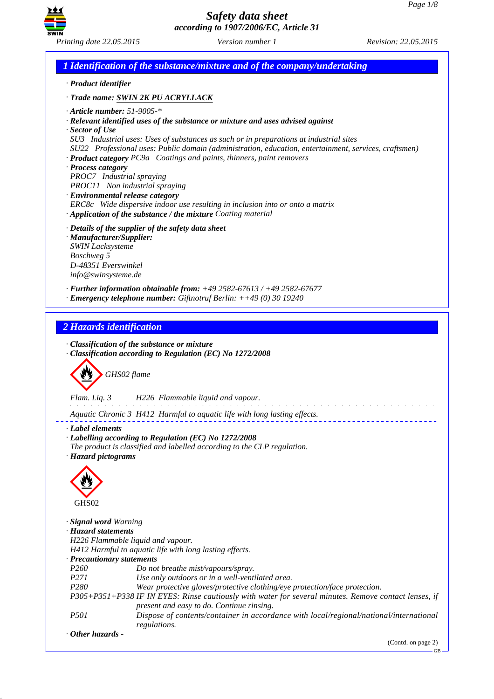

*1 Identification of the substance/mixture and of the company/undertaking · Product identifier · Trade name: SWIN 2K PU ACRYLLACK · Article number: 51-9005-\* · Relevant identified uses of the substance or mixture and uses advised against · Sector of Use SU3 Industrial uses: Uses of substances as such or in preparations at industrial sites SU22 Professional uses: Public domain (administration, education, entertainment, services, craftsmen) · Product category PC9a Coatings and paints, thinners, paint removers · Process category PROC7 Industrial spraying PROC11 Non industrial spraying · Environmental release category ERC8c Wide dispersive indoor use resulting in inclusion into or onto a matrix · Application of the substance / the mixture Coating material · Details of the supplier of the safety data sheet · Manufacturer/Supplier: SWIN Lacksysteme Boschweg 5 D-48351 Everswinkel info@swinsysteme.de · Further information obtainable from: +49 2582-67613 / +49 2582-67677 · Emergency telephone number: Giftnotruf Berlin: ++49 (0) 30 19240 2 Hazards identification · Classification of the substance or mixture · Classification according to Regulation (EC) No 1272/2008* d~*GHS02 flame Flam. Liq. 3 H226 Flammable liquid and vapour.* and the state of the state of the *Aquatic Chronic 3 H412 Harmful to aquatic life with long lasting effects. · Label elements · Labelling according to Regulation (EC) No 1272/2008 The product is classified and labelled according to the CLP regulation. · Hazard pictograms* < GHS02 *· Signal word Warning · Hazard statements H226 Flammable liquid and vapour. H412 Harmful to aquatic life with long lasting effects. · Precautionary statements P260 Do not breathe mist/vapours/spray. P271 Use only outdoors or in a well-ventilated area. P280 Wear protective gloves/protective clothing/eye protection/face protection. P305+P351+P338 IF IN EYES: Rinse cautiously with water for several minutes. Remove contact lenses, if present and easy to do. Continue rinsing. P501 Dispose of contents/container in accordance with local/regional/national/international regulations. · Other hazards -* 

(Contd. on page 2)

GB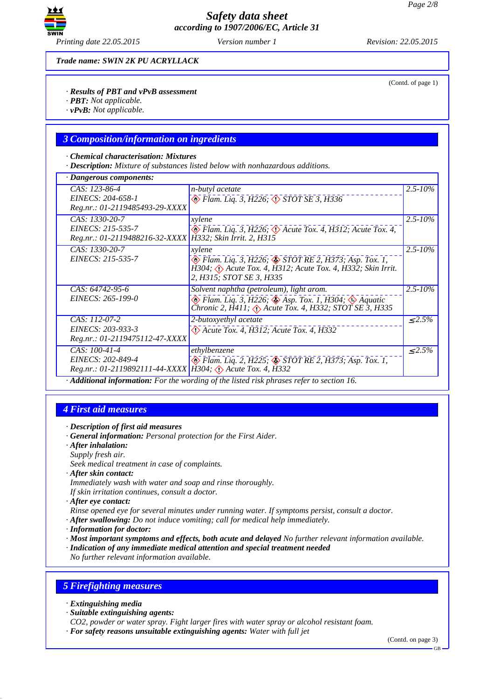

*Trade name: SWIN 2K PU ACRYLLACK*

#### *· Results of PBT and vPvB assessment*

- *· PBT: Not applicable.*
- *· vPvB: Not applicable.*

### *3 Composition/information on ingredients*

#### *· Chemical characterisation: Mixtures*

*· Description: Mixture of substances listed below with nonhazardous additions.*

| · Dangerous components:                                                                             |                                                                                                                                                                                                  |              |
|-----------------------------------------------------------------------------------------------------|--------------------------------------------------------------------------------------------------------------------------------------------------------------------------------------------------|--------------|
| CAS: 123-86-4<br>EINECS: 204-658-1<br>Reg.nr.: 01-2119485493-29-XXXX                                | <i>n-butyl</i> acetate<br>$\otimes$ Flam. Liq. 3, H226; $\otimes$ STOT SE 3, H336                                                                                                                | $2.5 - 10\%$ |
| CAS: 1330-20-7<br>EINECS: 215-535-7<br>Reg.nr.: 01-2119488216-32-XXXX H332; Skin Irrit. 2, H315     | xylene<br>$\circledast$ Flam. Liq. 3, H226; $\circledast$ Acute Tox. 4, H312; Acute Tox. 4,                                                                                                      | $2.5 - 10\%$ |
| CAS: 1330-20-7<br>EINECS: 215-535-7                                                                 | xylene<br>B Flam. Liq. 3, H226; STOT RE 2, H373; Asp. Tox. 1,<br>$\hat{H}$ 304; $\langle \cdot \rangle$ Acute Tox. 4, $\hat{H}$ 312; Acute Tox. 4, H332; Skin Irrit.<br>2, H315; STOT SE 3, H335 | $2.5 - 10\%$ |
| CAS: 64742-95-6<br>EINECS: 265-199-0                                                                | Solvent naphtha (petroleum), light arom.<br>$\otimes$ Flam. Liq. 3, H226; $\otimes$ Asp. Tox. 1, H304; $\otimes$ Aquatic<br>Chronic 2, H411; $\Diamond$ Acute Tox. 4, H332; STOT SE 3, H335      | $2.5 - 10\%$ |
| CAS: 112-07-2<br>EINECS: 203-933-3<br>Reg.nr.: 01-2119475112-47-XXXX                                | 2-butoxyethyl acetate<br>$\Diamond$ Acute Tox. 4, H312; Acute Tox. 4, H332                                                                                                                       | $< 2.5\%$    |
| $CAS: 100-41-4$<br>EINECS: 202-849-4<br>Reg.nr.: 01-2119892111-44-XXXX H304; (1) Acute Tox. 4, H332 | ethylbenzene<br>Elam. Liq. 2, H225; STOT RE 2, H373; Asp. Tox. 1,                                                                                                                                | $\leq 2.5\%$ |

*· Additional information: For the wording of the listed risk phrases refer to section 16.*

### *4 First aid measures*

- *· Description of first aid measures*
- *· General information: Personal protection for the First Aider.*
- *· After inhalation:*
- *Supply fresh air.*
- *Seek medical treatment in case of complaints.*
- *· After skin contact:*
- *Immediately wash with water and soap and rinse thoroughly. If skin irritation continues, consult a doctor.*
- *· After eye contact:*
- *Rinse opened eye for several minutes under running water. If symptoms persist, consult a doctor.*
- *· After swallowing: Do not induce vomiting; call for medical help immediately.*
- *· Information for doctor:*
- *· Most important symptoms and effects, both acute and delayed No further relevant information available.*
- *· Indication of any immediate medical attention and special treatment needed*
- *No further relevant information available.*

## *5 Firefighting measures*

- *· Extinguishing media*
- *· Suitable extinguishing agents:*
- *CO2, powder or water spray. Fight larger fires with water spray or alcohol resistant foam.*
- *· For safety reasons unsuitable extinguishing agents: Water with full jet*

(Contd. of page 1)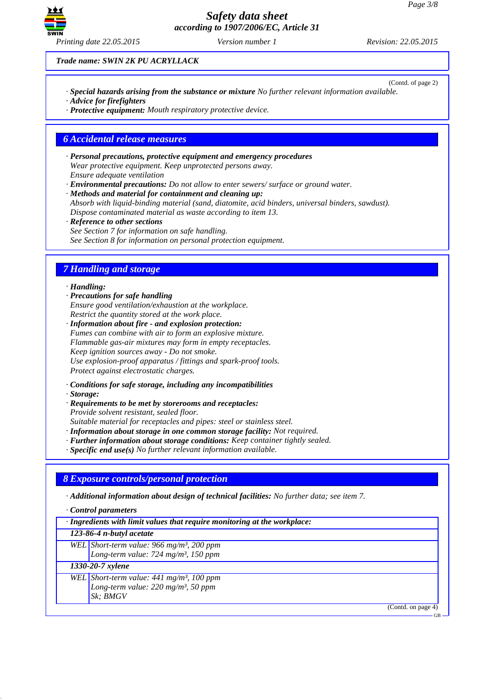(Contd. of page 2)



*Safety data sheet according to 1907/2006/EC, Article 31*

*Trade name: SWIN 2K PU ACRYLLACK*

- *· Special hazards arising from the substance or mixture No further relevant information available.*
- *· Advice for firefighters*
- *· Protective equipment: Mouth respiratory protective device.*

## *6 Accidental release measures*

*· Personal precautions, protective equipment and emergency procedures Wear protective equipment. Keep unprotected persons away. Ensure adequate ventilation*

*· Environmental precautions: Do not allow to enter sewers/ surface or ground water.*

*· Methods and material for containment and cleaning up: Absorb with liquid-binding material (sand, diatomite, acid binders, universal binders, sawdust). Dispose contaminated material as waste according to item 13.*

*· Reference to other sections See Section 7 for information on safe handling. See Section 8 for information on personal protection equipment.*

# *7 Handling and storage*

### *· Handling:*

- *· Precautions for safe handling Ensure good ventilation/exhaustion at the workplace. Restrict the quantity stored at the work place.*
- *· Information about fire and explosion protection: Fumes can combine with air to form an explosive mixture. Flammable gas-air mixtures may form in empty receptacles. Keep ignition sources away - Do not smoke. Use explosion-proof apparatus / fittings and spark-proof tools. Protect against electrostatic charges.*
- *· Conditions for safe storage, including any incompatibilities*
- *· Storage:*
- *· Requirements to be met by storerooms and receptacles: Provide solvent resistant, sealed floor.*

*Suitable material for receptacles and pipes: steel or stainless steel.*

- *· Information about storage in one common storage facility: Not required.*
- *· Further information about storage conditions: Keep container tightly sealed.*
- *· Specific end use(s) No further relevant information available.*

# *8 Exposure controls/personal protection*

*· Additional information about design of technical facilities: No further data; see item 7.*

- *· Control parameters*
- *· Ingredients with limit values that require monitoring at the workplace:*

### *123-86-4 n-butyl acetate*

- *WEL Short-term value: 966 mg/m³, 200 ppm*
	- *Long-term value: 724 mg/m³, 150 ppm*

*1330-20-7 xylene*

- *WEL Short-term value: 441 mg/m³, 100 ppm Long-term value: 220 mg/m³, 50 ppm*
	- *Sk; BMGV*

(Contd. on page 4)

GB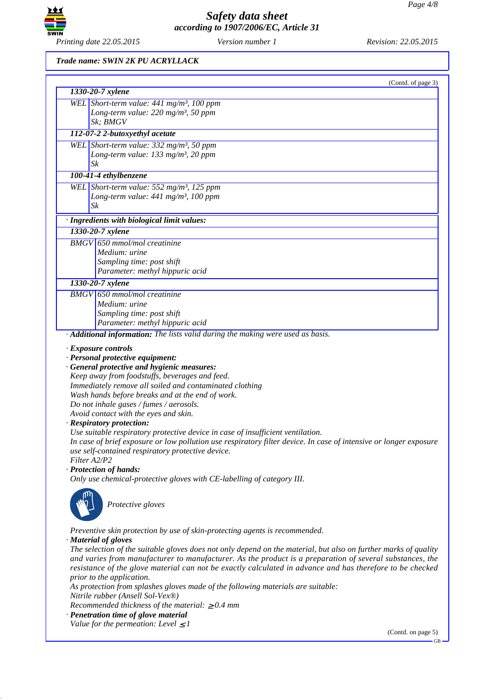

### *Trade name: SWIN 2K PU ACRYLLACK*

| (Contd. of page 3)                                                                                                                                                                                                                                                                                                                                                                                                                                                                                                                                                                                                                                                                                                                                                        |
|---------------------------------------------------------------------------------------------------------------------------------------------------------------------------------------------------------------------------------------------------------------------------------------------------------------------------------------------------------------------------------------------------------------------------------------------------------------------------------------------------------------------------------------------------------------------------------------------------------------------------------------------------------------------------------------------------------------------------------------------------------------------------|
| 1330-20-7 xylene                                                                                                                                                                                                                                                                                                                                                                                                                                                                                                                                                                                                                                                                                                                                                          |
| WEL Short-term value: $441$ mg/m <sup>3</sup> , 100 ppm<br>Long-term value: $220$ mg/m <sup>3</sup> , 50 ppm<br>Sk; BMGV                                                                                                                                                                                                                                                                                                                                                                                                                                                                                                                                                                                                                                                  |
| 112-07-2 2-butoxyethyl acetate                                                                                                                                                                                                                                                                                                                                                                                                                                                                                                                                                                                                                                                                                                                                            |
| WEL Short-term value: 332 mg/m <sup>3</sup> , 50 ppm                                                                                                                                                                                                                                                                                                                                                                                                                                                                                                                                                                                                                                                                                                                      |
| Long-term value: 133 mg/m <sup>3</sup> , 20 ppm                                                                                                                                                                                                                                                                                                                                                                                                                                                                                                                                                                                                                                                                                                                           |
| Sk                                                                                                                                                                                                                                                                                                                                                                                                                                                                                                                                                                                                                                                                                                                                                                        |
| 100-41-4 ethylbenzene                                                                                                                                                                                                                                                                                                                                                                                                                                                                                                                                                                                                                                                                                                                                                     |
| WEL Short-term value: $552$ mg/m <sup>3</sup> , 125 ppm                                                                                                                                                                                                                                                                                                                                                                                                                                                                                                                                                                                                                                                                                                                   |
| Long-term value: 441 mg/m <sup>3</sup> , 100 ppm                                                                                                                                                                                                                                                                                                                                                                                                                                                                                                                                                                                                                                                                                                                          |
| Sk                                                                                                                                                                                                                                                                                                                                                                                                                                                                                                                                                                                                                                                                                                                                                                        |
| · Ingredients with biological limit values:                                                                                                                                                                                                                                                                                                                                                                                                                                                                                                                                                                                                                                                                                                                               |
| 1330-20-7 xylene                                                                                                                                                                                                                                                                                                                                                                                                                                                                                                                                                                                                                                                                                                                                                          |
| <b>BMGV</b> 650 mmol/mol creatinine                                                                                                                                                                                                                                                                                                                                                                                                                                                                                                                                                                                                                                                                                                                                       |
| Medium: urine                                                                                                                                                                                                                                                                                                                                                                                                                                                                                                                                                                                                                                                                                                                                                             |
| Sampling time: post shift                                                                                                                                                                                                                                                                                                                                                                                                                                                                                                                                                                                                                                                                                                                                                 |
| Parameter: methyl hippuric acid                                                                                                                                                                                                                                                                                                                                                                                                                                                                                                                                                                                                                                                                                                                                           |
| 1330-20-7 xylene                                                                                                                                                                                                                                                                                                                                                                                                                                                                                                                                                                                                                                                                                                                                                          |
| $BMGV$ 650 mmol/mol creatinine                                                                                                                                                                                                                                                                                                                                                                                                                                                                                                                                                                                                                                                                                                                                            |
| Medium: urine                                                                                                                                                                                                                                                                                                                                                                                                                                                                                                                                                                                                                                                                                                                                                             |
| Sampling time: post shift                                                                                                                                                                                                                                                                                                                                                                                                                                                                                                                                                                                                                                                                                                                                                 |
| Parameter: methyl hippuric acid                                                                                                                                                                                                                                                                                                                                                                                                                                                                                                                                                                                                                                                                                                                                           |
| · Additional information: The lists valid during the making were used as basis.                                                                                                                                                                                                                                                                                                                                                                                                                                                                                                                                                                                                                                                                                           |
| · Exposure controls<br>· Personal protective equipment:<br>· General protective and hygienic measures:<br>Keep away from foodstuffs, beverages and feed.<br>Immediately remove all soiled and contaminated clothing<br>Wash hands before breaks and at the end of work.<br>Do not inhale gases / fumes / aerosols.<br>Avoid contact with the eyes and skin.<br>· Respiratory protection:<br>Use suitable respiratory protective device in case of insufficient ventilation.<br>In case of brief exposure or low pollution use respiratory filter device. In case of intensive or longer exposure<br>use self-contained respiratory protective device.<br>Filter A2/P2<br>· Protection of hands:<br>Only use chemical-protective gloves with CE-labelling of category III. |
| Protective gloves<br>Preventive skin protection by use of skin-protecting agents is recommended.<br>· Material of gloves<br>The selection of the suitable gloves does not only depend on the material, but also on further marks of quality<br>and varies from manufacturer to manufacturer. As the product is a preparation of several substances, the<br>resistance of the glove material can not be exactly calculated in advance and has therefore to be checked<br>prior to the application.<br>As protection from splashes gloves made of the following materials are suitable:<br>Nitrile rubber (Ansell Sol-Vex®)<br>Recommended thickness of the material: $\geq 0.4$ mm                                                                                         |
| · Penetration time of glove material                                                                                                                                                                                                                                                                                                                                                                                                                                                                                                                                                                                                                                                                                                                                      |
| Value for the permeation: Level $\leq$ 1<br>(Contd. on page 5)                                                                                                                                                                                                                                                                                                                                                                                                                                                                                                                                                                                                                                                                                                            |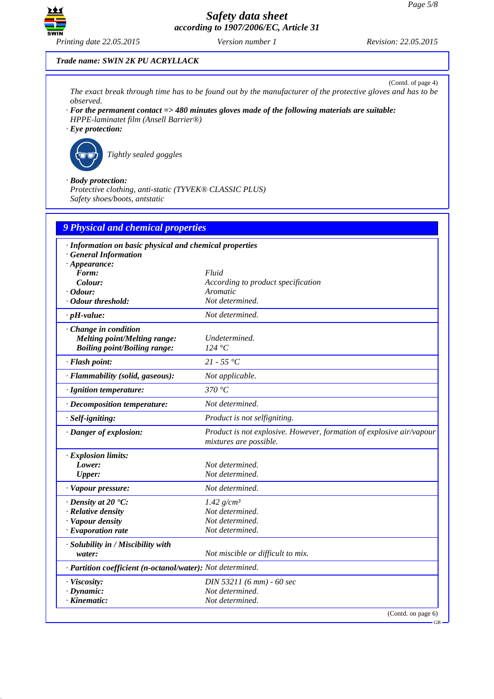

*Trade name: SWIN 2K PU ACRYLLACK*

(Contd. of page 4) *The exact break through time has to be found out by the manufacturer of the protective gloves and has to be observed.*

- *· For the permanent contact => 480 minutes gloves made of the following materials are suitable: HPPE-laminatet film (Ansell Barrier®)*
- *· Eye protection:*



`R*Tightly sealed goggles*

*· Body protection:*

*Protective clothing, anti-static (TYVEK® CLASSIC PLUS) Safety shoes/boots, antstatic*

| 9 Physical and chemical properties                                                                                          |                                                                                                |  |
|-----------------------------------------------------------------------------------------------------------------------------|------------------------------------------------------------------------------------------------|--|
| · Information on basic physical and chemical properties<br>· General Information<br>$\cdot$ Appearance:<br>Form:<br>Colour: | Fluid<br>According to product specification                                                    |  |
| $\cdot$ Odour:<br>· Odour threshold:                                                                                        | Aromatic<br>Not determined.                                                                    |  |
| $\cdot$ pH-value:                                                                                                           | Not determined.                                                                                |  |
| Change in condition<br><b>Melting point/Melting range:</b><br><b>Boiling point/Boiling range:</b>                           | Undetermined.<br>124 °C                                                                        |  |
| · Flash point:                                                                                                              | 21 - 55 °C                                                                                     |  |
| · Flammability (solid, gaseous):                                                                                            | Not applicable.                                                                                |  |
| · Ignition temperature:                                                                                                     | 370 $\degree$ C                                                                                |  |
| · Decomposition temperature:                                                                                                | Not determined.                                                                                |  |
| · Self-igniting:                                                                                                            | Product is not selfigniting.                                                                   |  |
| · Danger of explosion:                                                                                                      | Product is not explosive. However, formation of explosive air/vapour<br>mixtures are possible. |  |
| · Explosion limits:<br>Lower:<br><b>Upper:</b><br>· Vapour pressure:                                                        | Not determined.<br>Not determined.<br>Not determined.                                          |  |
| $\cdot$ Density at 20 $\cdot$ C:<br>· Relative density<br>· Vapour density<br>· Evaporation rate                            | 1.42 $g/cm^3$<br>Not determined.<br>Not determined.<br>Not determined.                         |  |
| · Solubility in / Miscibility with<br>water:                                                                                | Not miscible or difficult to mix.                                                              |  |
| · Partition coefficient (n-octanol/water): Not determined.                                                                  |                                                                                                |  |
| · Viscosity:<br>$\cdot$ Dynamic:<br>$\cdot$ Kinematic:                                                                      | DIN 53211 (6 mm) - 60 sec<br>Not determined.<br>Not determined.                                |  |
|                                                                                                                             | (Contd. on page 6)                                                                             |  |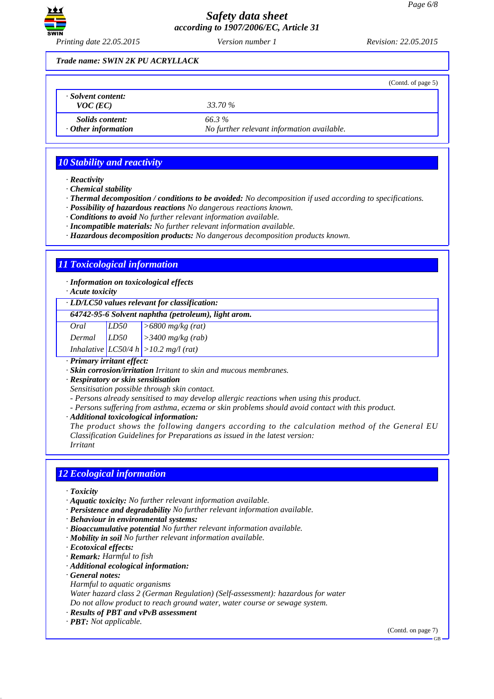

*Printing date 22.05.2015 Version number 1 Revision: 22.05.2015*

### *Trade name: SWIN 2K PU ACRYLLACK*

|                                                     |                                                     | (Contd. of page 5) |
|-----------------------------------------------------|-----------------------------------------------------|--------------------|
| Solvent content:<br>$VOC$ (EC)                      | 33.70 %                                             |                    |
| <i>Solids content:</i><br>$\cdot$ Other information | 66.3%<br>No further relevant information available. |                    |

# *10 Stability and reactivity*

*· Reactivity*

*· Chemical stability*

- *· Thermal decomposition / conditions to be avoided: No decomposition if used according to specifications.*
- *· Possibility of hazardous reactions No dangerous reactions known.*
- *· Conditions to avoid No further relevant information available.*
- *· Incompatible materials: No further relevant information available.*
- *· Hazardous decomposition products: No dangerous decomposition products known.*

# *11 Toxicological information*

*· Information on toxicological effects*

*· Acute toxicity*

#### *· LD/LC50 values relevant for classification:*

*64742-95-6 Solvent naphtha (petroleum), light arom.*

| Oral | LD50                      | $>6800$ mg/kg (rat) |  |  |
|------|---------------------------|---------------------|--|--|
|      | $\mathbf{r}$ $\mathbf{r}$ |                     |  |  |

*Dermal LD50 >3400 mg/kg (rab)*

*Inhalative LC50/4 h >10.2 mg/l (rat)*

*· Primary irritant effect:*

*· Skin corrosion/irritation Irritant to skin and mucous membranes.*

*· Respiratory or skin sensitisation*

- *Sensitisation possible through skin contact.*
- *Persons already sensitised to may develop allergic reactions when using this product.*
- *Persons suffering from asthma, eczema or skin problems should avoid contact with this product.*
- *· Additional toxicological information:*

*The product shows the following dangers according to the calculation method of the General EU Classification Guidelines for Preparations as issued in the latest version: Irritant*

# *12 Ecological information*

*· Toxicity*

- *· Aquatic toxicity: No further relevant information available.*
- *· Persistence and degradability No further relevant information available.*
- *· Behaviour in environmental systems:*
- *· Bioaccumulative potential No further relevant information available.*
- *· Mobility in soil No further relevant information available.*
- *· Ecotoxical effects:*
- *· Remark: Harmful to fish*
- *· Additional ecological information:*
- *· General notes:*
- *Harmful to aquatic organisms*
- *Water hazard class 2 (German Regulation) (Self-assessment): hazardous for water*

*Do not allow product to reach ground water, water course or sewage system.*

- *· Results of PBT and vPvB assessment*
- *· PBT: Not applicable.*

(Contd. on page 7)

#### GB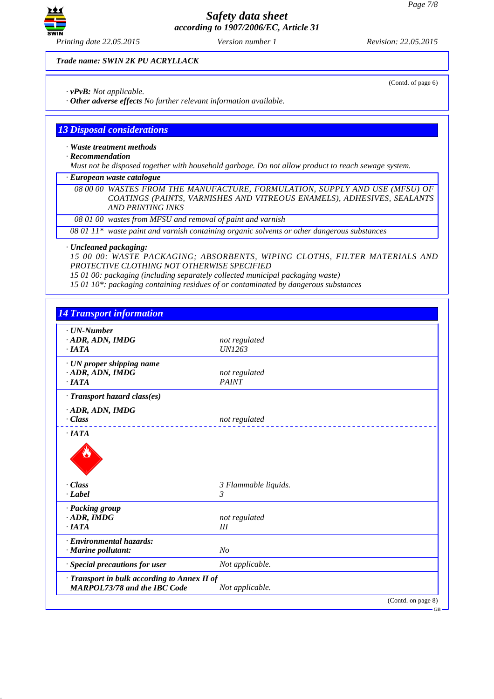(Contd. of page 6)



*Safety data sheet according to 1907/2006/EC, Article 31*

*Trade name: SWIN 2K PU ACRYLLACK*

- *· vPvB: Not applicable.*
- *· Other adverse effects No further relevant information available.*

### *13 Disposal considerations*

*· Waste treatment methods*

*· Recommendation*

*Must not be disposed together with household garbage. Do not allow product to reach sewage system.*

*· European waste catalogue*

*08 00 00 WASTES FROM THE MANUFACTURE, FORMULATION, SUPPLY AND USE (MFSU) OF COATINGS (PAINTS, VARNISHES AND VITREOUS ENAMELS), ADHESIVES, SEALANTS AND PRINTING INKS*

*08 01 00 wastes from MFSU and removal of paint and varnish*

*08 01 11\* waste paint and varnish containing organic solvents or other dangerous substances*

*· Uncleaned packaging:*

*15 00 00: WASTE PACKAGING; ABSORBENTS, WIPING CLOTHS, FILTER MATERIALS AND PROTECTIVE CLOTHING NOT OTHERWISE SPECIFIED*

*15 01 00: packaging (including separately collected municipal packaging waste)*

*15 01 10\*: packaging containing residues of or contaminated by dangerous substances*

| $\cdot$ UN-Number                                                                   |                      |
|-------------------------------------------------------------------------------------|----------------------|
| · ADR, ADN, IMDG                                                                    | not regulated        |
| $\cdot$ IATA                                                                        | <b>UN1263</b>        |
| · UN proper shipping name                                                           |                      |
| $\cdot$ ADR, ADN, IMDG                                                              | not regulated        |
| $\cdot$ IATA                                                                        | <b>PAINT</b>         |
| · Transport hazard class(es)                                                        |                      |
| $\cdot$ ADR, ADN, IMDG                                                              |                      |
| · Class                                                                             | not regulated        |
| $\cdot$ IATA                                                                        |                      |
|                                                                                     |                      |
| $\cdot$ Class                                                                       | 3 Flammable liquids. |
| · Label                                                                             | 3                    |
|                                                                                     |                      |
| · Packing group                                                                     |                      |
| $\cdot$ ADR, IMDG                                                                   | not regulated        |
| $\cdot$ <i>IATA</i>                                                                 | III                  |
| · Environmental hazards:                                                            |                      |
| · Marine pollutant:                                                                 | N <sub>O</sub>       |
| · Special precautions for user                                                      | Not applicable.      |
| · Transport in bulk according to Annex II of<br><b>MARPOL73/78 and the IBC Code</b> | Not applicable.      |